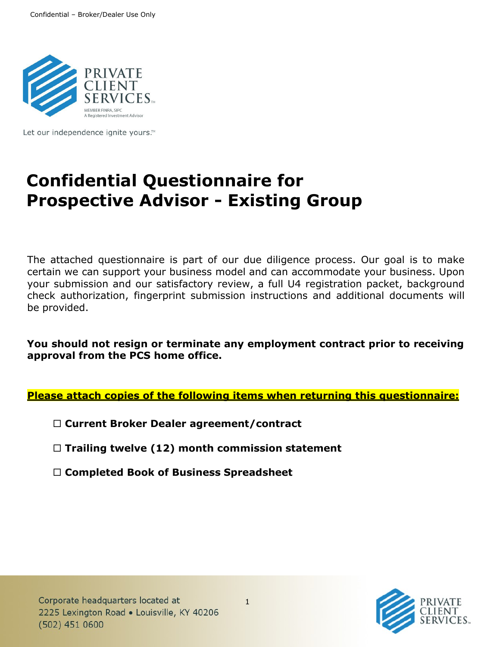

Let our independence ignite yours.<sup>™</sup>

# **Confidential Questionnaire for Prospective Advisor - Existing Group**

The attached questionnaire is part of our due diligence process. Our goal is to make certain we can support your business model and can accommodate your business. Upon your submission and our satisfactory review, a full U4 registration packet, background check authorization, fingerprint submission instructions and additional documents will be provided.

**You should not resign or terminate any employment contract prior to receiving approval from the PCS home office.**

**Please attach copies of the following items when returning this questionnaire:**

**Current Broker Dealer agreement/contract**

**Trailing twelve (12) month commission statement**

**Completed Book of Business Spreadsheet**



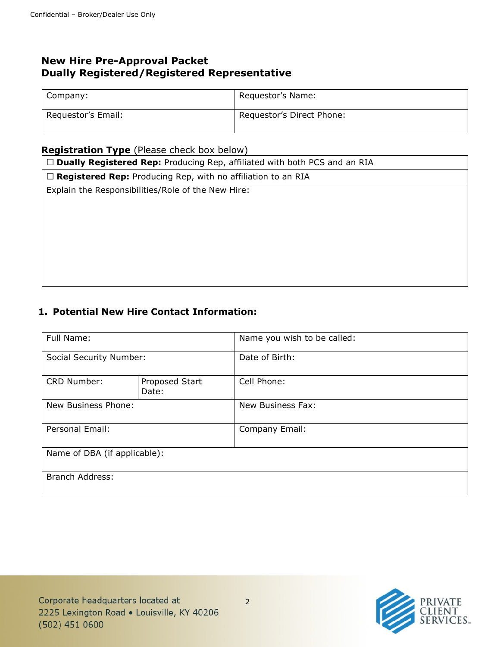## **New Hire Pre-Approval Packet Dually Registered/Registered Representative**

| Company:           | Requestor's Name:         |
|--------------------|---------------------------|
| Requestor's Email: | Requestor's Direct Phone: |

## **Registration Type** (Please check box below)

| $\Box$ Dually Registered Rep: Producing Rep, affiliated with both PCS and an RIA |  |
|----------------------------------------------------------------------------------|--|
| $\Box$ Registered Rep: Producing Rep, with no affiliation to an RIA              |  |
| Explain the Responsibilities/Role of the New Hire:                               |  |
|                                                                                  |  |
|                                                                                  |  |
|                                                                                  |  |
|                                                                                  |  |
|                                                                                  |  |
|                                                                                  |  |
|                                                                                  |  |

## **1. Potential New Hire Contact Information:**

| Full Name:                     |                         | Name you wish to be called: |  |
|--------------------------------|-------------------------|-----------------------------|--|
| <b>Social Security Number:</b> |                         | Date of Birth:              |  |
| <b>CRD Number:</b>             | Proposed Start<br>Date: | Cell Phone:                 |  |
| New Business Phone:            |                         | New Business Fax:           |  |
| Personal Email:                |                         | Company Email:              |  |
| Name of DBA (if applicable):   |                         |                             |  |
| Branch Address:                |                         |                             |  |

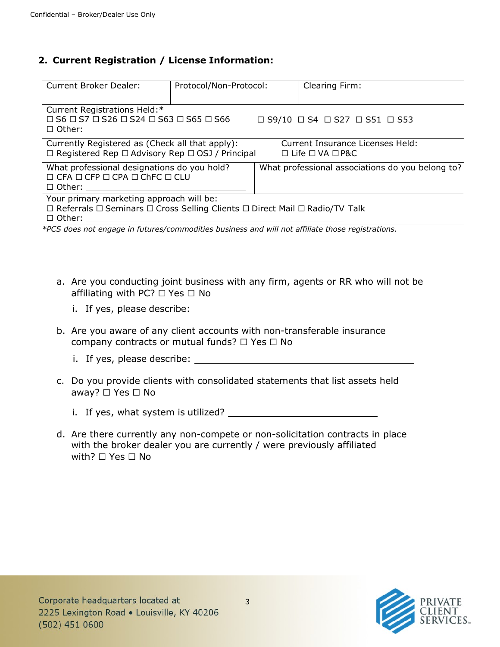## **2. Current Registration / License Information:**

| <b>Current Broker Dealer:</b>                                                                                                                                                               | Protocol/Non-Protocol: |                                                  |  | Clearing Firm:                                          |
|---------------------------------------------------------------------------------------------------------------------------------------------------------------------------------------------|------------------------|--------------------------------------------------|--|---------------------------------------------------------|
| Current Registrations Held:*<br>$\Box$ S6 $\Box$ S7 $\Box$ S26 $\Box$ S24 $\Box$ S63 $\Box$ S65 $\Box$ S66<br>$\Box$ Other:                                                                 |                        |                                                  |  | $\Box$ S9/10 $\Box$ S4 $\Box$ S27 $\Box$ S51 $\Box$ S53 |
| Currently Registered as (Check all that apply):<br>Current Insurance Licenses Held:<br>$\Box$ Registered Rep $\Box$ Advisory Rep $\Box$ OSJ / Principal<br>$\Box$ Life $\Box$ VA $\Box$ P&C |                        |                                                  |  |                                                         |
| What professional designations do you hold?<br>$\Box$ CFA $\Box$ CFP $\Box$ CPA $\Box$ ChFC $\Box$ CLU<br>$\Box$ Other:                                                                     |                        | What professional associations do you belong to? |  |                                                         |
| Your primary marketing approach will be:<br>□ Referrals □ Seminars □ Cross Selling Clients □ Direct Mail □ Radio/TV Talk<br>$\Box$ Other:                                                   |                        |                                                  |  |                                                         |

*\*PCS does not engage in futures/commodities business and will not affiliate those registrations.*

- a. Are you conducting joint business with any firm, agents or RR who will not be affiliating with PC? □ Yes □ No
	- i. If yes, please describe:
- b. Are you aware of any client accounts with non-transferable insurance company contracts or mutual funds? ☐ Yes ☐ No
	- i. If yes, please describe:
- c. Do you provide clients with consolidated statements that list assets held away? ☐ Yes ☐ No
	- i. If yes, what system is utilized?
- d. Are there currently any non-compete or non-solicitation contracts in place with the broker dealer you are currently / were previously affiliated with? □ Yes □ No

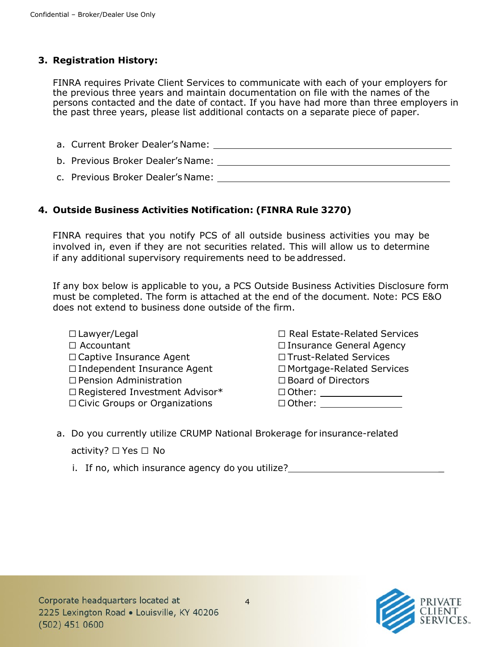## **3. Registration History:**

FINRA requires Private Client Services to communicate with each of your employers for the previous three years and maintain documentation on file with the names of the persons contacted and the date of contact. If you have had more than three employers in the past three years, please list additional contacts on a separate piece of paper.

a. Current Broker Dealer's Name: b. Previous Broker Dealer's Name: c. Previous Broker Dealer's Name:

## **4. Outside Business Activities Notification: (FINRA Rule 3270)**

FINRA requires that you notify PCS of all outside business activities you may be involved in, even if they are not securities related. This will allow us to determine if any additional supervisory requirements need to be addressed.

If any box below is applicable to you, a PCS Outside Business Activities Disclosure form must be completed. The form is attached at the end of the document. Note: PCS E&O does not extend to business done outside of the firm.

☐ Lawyer/Legal ☐ Accountant □ Captive Insurance Agent ☐ Independent Insurance Agent ☐ Pension Administration ☐ Registered Investment Advisor\* ☐ Civic Groups or Organizations

☐ Real Estate-Related Services ☐ Insurance General Agency ☐ Trust-Related Services ☐ Mortgage-Related Services ☐ Board of Directors □ Other: \_\_\_\_\_\_\_\_\_\_ ☐ Other:

- a. Do you currently utilize CRUMP National Brokerage for insurance-related activity? □ Yes □ No
	- i. If no, which insurance agency do you utilize?

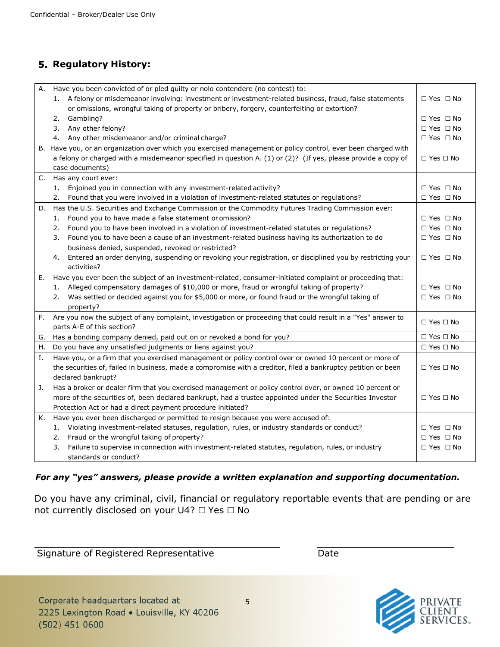## **5. Regulatory History:**

| Α. |                                                                                                          | Have you been convicted of or pled guilty or nolo contendere (no contest) to:                                 |                      |
|----|----------------------------------------------------------------------------------------------------------|---------------------------------------------------------------------------------------------------------------|----------------------|
|    | 1. A felony or misdemeanor involving: investment or investment-related business, fraud, false statements |                                                                                                               | $\Box$ Yes $\Box$ No |
|    |                                                                                                          | or omissions, wrongful taking of property or bribery, forgery, counterfeiting or extortion?                   |                      |
|    | 2.                                                                                                       | Gambling?                                                                                                     | $\Box$ Yes $\Box$ No |
|    | 3.                                                                                                       | Any other felony?                                                                                             | $\Box$ Yes $\Box$ No |
|    | 4.                                                                                                       | Any other misdemeanor and/or criminal charge?                                                                 | $\Box$ Yes $\Box$ No |
|    |                                                                                                          | B. Have you, or an organization over which you exercised management or policy control, ever been charged with |                      |
|    |                                                                                                          | a felony or charged with a misdemeanor specified in question A. (1) or (2)? (If yes, please provide a copy of | $\Box$ Yes $\Box$ No |
|    |                                                                                                          | case documents)                                                                                               |                      |
| C. |                                                                                                          | Has any court ever:                                                                                           |                      |
|    | 1.                                                                                                       | Enjoined you in connection with any investment-related activity?                                              | $\Box$ Yes $\Box$ No |
|    | 2.                                                                                                       | Found that you were involved in a violation of investment-related statutes or regulations?                    | $\Box$ Yes $\Box$ No |
| D. |                                                                                                          | Has the U.S. Securities and Exchange Commission or the Commodity Futures Trading Commission ever:             |                      |
|    | 1.                                                                                                       | Found you to have made a false statement or omission?                                                         | $\Box$ Yes $\Box$ No |
|    | 2.                                                                                                       | Found you to have been involved in a violation of investment-related statutes or regulations?                 | $\Box$ Yes $\Box$ No |
|    | 3.                                                                                                       | Found you to have been a cause of an investment-related business having its authorization to do               | $\Box$ Yes $\Box$ No |
|    |                                                                                                          | business denied, suspended, revoked or restricted?                                                            |                      |
|    | 4.                                                                                                       | Entered an order denying, suspending or revoking your registration, or disciplined you by restricting your    | $\Box$ Yes $\Box$ No |
|    |                                                                                                          | activities?                                                                                                   |                      |
| Е. |                                                                                                          | Have you ever been the subject of an investment-related, consumer-initiated complaint or proceeding that:     |                      |
|    |                                                                                                          | 1. Alleged compensatory damages of \$10,000 or more, fraud or wrongful taking of property?                    | $\Box$ Yes $\Box$ No |
|    | 2.                                                                                                       | Was settled or decided against you for \$5,000 or more, or found fraud or the wrongful taking of              | $\Box$ Yes $\Box$ No |
|    |                                                                                                          | property?                                                                                                     |                      |
| F. |                                                                                                          | Are you now the subject of any complaint, investigation or proceeding that could result in a "Yes" answer to  | $\Box$ Yes $\Box$ No |
|    |                                                                                                          | parts A-E of this section?                                                                                    |                      |
| G. |                                                                                                          | Has a bonding company denied, paid out on or revoked a bond for you?                                          | $\Box$ Yes $\Box$ No |
| Η. |                                                                                                          | Do you have any unsatisfied judgments or liens against you?                                                   | $\Box$ Yes $\Box$ No |
| Ι. |                                                                                                          | Have you, or a firm that you exercised management or policy control over or owned 10 percent or more of       |                      |
|    |                                                                                                          | the securities of, failed in business, made a compromise with a creditor, filed a bankruptcy petition or been | $\Box$ Yes $\Box$ No |
|    |                                                                                                          | declared bankrupt?                                                                                            |                      |
| J. |                                                                                                          | Has a broker or dealer firm that you exercised management or policy control over, or owned 10 percent or      |                      |
|    |                                                                                                          | more of the securities of, been declared bankrupt, had a trustee appointed under the Securities Investor      | $\Box$ Yes $\Box$ No |
|    |                                                                                                          | Protection Act or had a direct payment procedure initiated?                                                   |                      |
| К. |                                                                                                          | Have you ever been discharged or permitted to resign because you were accused of:                             |                      |
|    |                                                                                                          | 1. Violating investment-related statuses, regulation, rules, or industry standards or conduct?                | $\Box$ Yes $\Box$ No |
|    | 2.                                                                                                       | Fraud or the wrongful taking of property?                                                                     | $\Box$ Yes $\Box$ No |
|    | 3.                                                                                                       | Failure to supervise in connection with investment-related statutes, regulation, rules, or industry           | $\Box$ Yes $\Box$ No |
|    |                                                                                                          | standards or conduct?                                                                                         |                      |

#### *For any "yes" answers, please provide a written explanation and supporting documentation.*

Do you have any criminal, civil, financial or regulatory reportable events that are pending or are not currently disclosed on your U4? □ Yes □ No

Signature of Registered Representative **Date** 

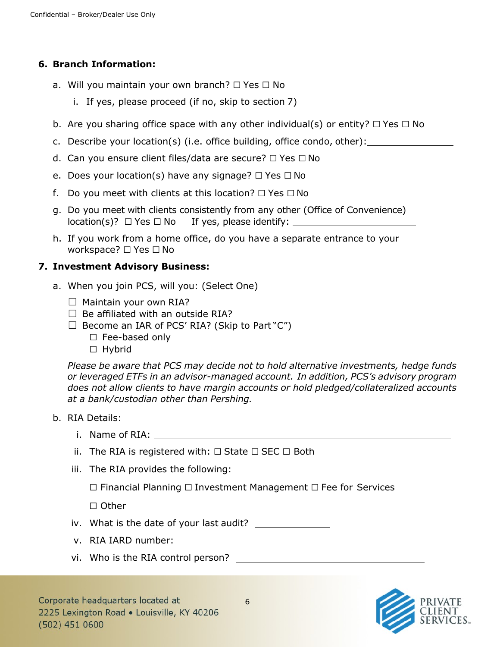#### **6. Branch Information:**

- a. Will you maintain your own branch? □ Yes □ No
	- i. If yes, please proceed (if no, skip to section 7)
- b. Are you sharing office space with any other individual(s) or entity?  $\Box$  Yes  $\Box$  No
- c. Describe your location(s) (i.e. office building, office condo, other):
- d. Can you ensure client files/data are secure? ☐ Yes ☐ No
- e. Does your location(s) have any signage?  $\Box$  Yes  $\Box$  No
- f. Do you meet with clients at this location?  $\Box$  Yes  $\Box$  No
- g. Do you meet with clients consistently from any other (Office of Convenience) location(s)? ☐ Yes ☐ No If yes, please identify:
- h. If you work from a home office, do you have a separate entrance to your workspace? □ Yes □ No

#### **7. Investment Advisory Business:**

- a. When you join PCS, will you: (Select One)
	- $\Box$  Maintain your own RIA?
	- $\Box$  Be affiliated with an outside RIA?
	- $\Box$  Become an IAR of PCS' RIA? (Skip to Part "C")
		- ☐ Fee-based only
		- ☐ Hybrid

*Please be aware that PCS may decide not to hold alternative investments, hedge funds or leveraged ETFs in an advisor-managed account. In addition, PCS's advisory program does not allow clients to have margin accounts or hold pledged/collateralized accounts at a bank/custodian other than Pershing.*

- b. RIA Details:
	- i. Name of RIA:
	- ii. The RIA is registered with:  $\Box$  State  $\Box$  SEC  $\Box$  Both
	- iii. The RIA provides the following:

☐ Financial Planning ☐ Investment Management ☐ Fee for Services

- ☐ Other
- iv. What is the date of your last audit?
- v. RIA IARD number:
- vi. Who is the RIA control person?

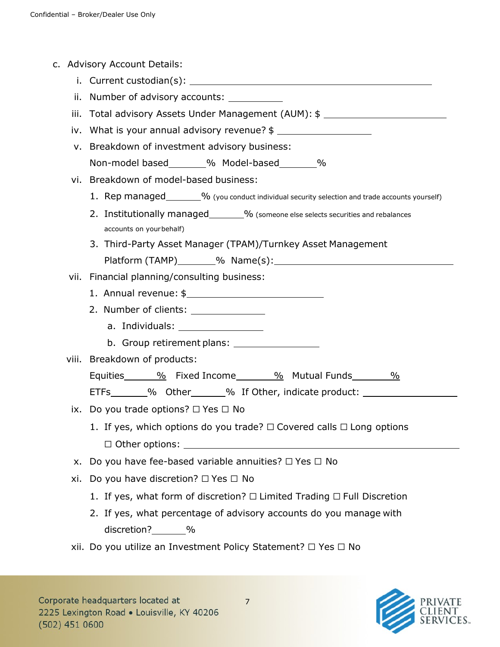|                                                          | c. Advisory Account Details:                                                                    |  |  |  |
|----------------------------------------------------------|-------------------------------------------------------------------------------------------------|--|--|--|
| i.                                                       |                                                                                                 |  |  |  |
| ii.                                                      | Number of advisory accounts: ___________                                                        |  |  |  |
| Total advisory Assets Under Management (AUM): \$<br>iii. |                                                                                                 |  |  |  |
| iv.                                                      | What is your annual advisory revenue? \$                                                        |  |  |  |
| v.                                                       | Breakdown of investment advisory business:                                                      |  |  |  |
|                                                          | Non-model based________% Model-based________%                                                   |  |  |  |
| vi.                                                      | Breakdown of model-based business:                                                              |  |  |  |
|                                                          | 1. Rep managed________% (you conduct individual security selection and trade accounts yourself) |  |  |  |
|                                                          | 2. Institutionally managed_______% (someone else selects securities and rebalances              |  |  |  |
|                                                          | accounts on yourbehalf)                                                                         |  |  |  |
|                                                          | 3. Third-Party Asset Manager (TPAM)/Turnkey Asset Management                                    |  |  |  |
|                                                          |                                                                                                 |  |  |  |
| vii.                                                     | Financial planning/consulting business:                                                         |  |  |  |
|                                                          |                                                                                                 |  |  |  |
|                                                          | 2. Number of clients: ______________                                                            |  |  |  |
|                                                          |                                                                                                 |  |  |  |
|                                                          | b. Group retirement plans: ____________________                                                 |  |  |  |
|                                                          | viii. Breakdown of products:                                                                    |  |  |  |
|                                                          | Equities 10 % Fixed Income 10 % Mutual Funds 10 %                                               |  |  |  |
|                                                          | ETFs________% Other_______% If Other, indicate product: ________________________                |  |  |  |
| ix.                                                      | Do you trade options? $\Box$ Yes $\Box$ No                                                      |  |  |  |
|                                                          | 1. If yes, which options do you trade? $\Box$ Covered calls $\Box$ Long options                 |  |  |  |
|                                                          |                                                                                                 |  |  |  |
| X.                                                       | Do you have fee-based variable annuities? $\Box$ Yes $\Box$ No                                  |  |  |  |
| xi.                                                      | Do you have discretion? $\Box$ Yes $\Box$ No                                                    |  |  |  |
|                                                          | 1. If yes, what form of discretion? $\Box$ Limited Trading $\Box$ Full Discretion               |  |  |  |
|                                                          | 2. If yes, what percentage of advisory accounts do you manage with                              |  |  |  |
|                                                          | discretion?_______%                                                                             |  |  |  |
|                                                          | xii. Do you utilize an Investment Policy Statement? □ Yes □ No                                  |  |  |  |
|                                                          |                                                                                                 |  |  |  |
|                                                          |                                                                                                 |  |  |  |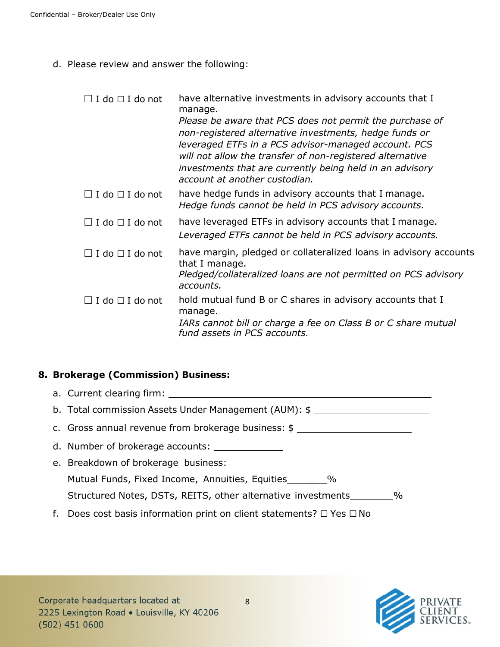d. Please review and answer the following:

| $\Box$ I do $\Box$ I do not | have alternative investments in advisory accounts that I<br>manage.                                                                                                           |
|-----------------------------|-------------------------------------------------------------------------------------------------------------------------------------------------------------------------------|
|                             | Please be aware that PCS does not permit the purchase of<br>non-registered alternative investments, hedge funds or                                                            |
|                             | leveraged ETFs in a PCS advisor-managed account. PCS<br>will not allow the transfer of non-registered alternative<br>investments that are currently being held in an advisory |
|                             | account at another custodian.                                                                                                                                                 |
| $\Box$ I do $\Box$ I do not | have hedge funds in advisory accounts that I manage.<br>Hedge funds cannot be held in PCS advisory accounts.                                                                  |
| $\Box$ I do $\Box$ I do not | have leveraged ETFs in advisory accounts that I manage.<br>Leveraged ETFs cannot be held in PCS advisory accounts.                                                            |
| $\Box$ I do $\Box$ I do not | have margin, pledged or collateralized loans in advisory accounts<br>that I manage.                                                                                           |
|                             | Pledged/collateralized loans are not permitted on PCS advisory<br>accounts.                                                                                                   |
| $\Box$ I do $\Box$ I do not | hold mutual fund B or C shares in advisory accounts that I<br>manage.                                                                                                         |
|                             | IARs cannot bill or charge a fee on Class B or C share mutual<br>fund assets in PCS accounts.                                                                                 |

## **8. Brokerage (Commission) Business:**

- a. Current clearing firm:
- b. Total commission Assets Under Management (AUM): \$
- c. Gross annual revenue from brokerage business: \$
- d. Number of brokerage accounts:
- e. Breakdown of brokerage business: Mutual Funds, Fixed Income, Annuities, Equities \_\_\_\_\_\_\_% Structured Notes, DSTs, REITS, other alternative investments\_\_\_\_\_\_\_\_%
- f. Does cost basis information print on client statements?  $\Box$  Yes  $\Box$  No

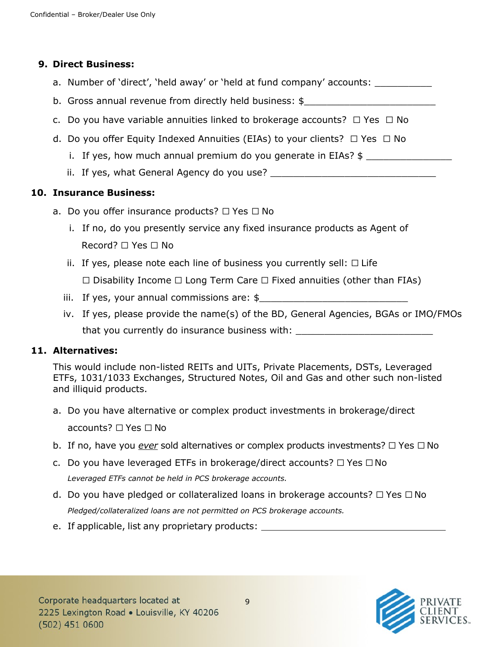### **9. Direct Business:**

- a. Number of 'direct', 'held away' or 'held at fund company' accounts: \_\_\_\_\_\_\_\_\_
- b. Gross annual revenue from directly held business: \$\_\_\_\_\_\_\_\_\_\_\_\_\_\_\_\_\_\_\_\_\_\_\_
- c. Do you have variable annuities linked to brokerage accounts?  $\Box$  Yes  $\Box$  No
- d. Do you offer Equity Indexed Annuities (EIAs) to your clients? ☐ Yes ☐ No
	- i. If yes, how much annual premium do you generate in EIAs?  $\frac{1}{2}$
	- ii. If yes, what General Agency do you use? \_\_\_\_\_\_\_\_\_\_\_\_\_\_\_\_\_\_\_\_\_\_\_\_\_\_\_\_\_

## **10. Insurance Business:**

- a. Do you offer insurance products? □ Yes □ No
	- i. If no, do you presently service any fixed insurance products as Agent of Record? ☐ Yes ☐ No
	- ii. If yes, please note each line of business you currently sell:  $\Box$  Life

☐ Disability Income ☐ Long Term Care ☐ Fixed annuities (other than FIAs)

- iii. If yes, your annual commissions are:  $\frac{1}{2}$
- iv. If yes, please provide the name(s) of the BD, General Agencies, BGAs or IMO/FMOs that you currently do insurance business with: \_\_\_\_\_\_\_\_\_\_\_\_\_\_\_\_\_\_\_\_\_\_\_\_\_\_\_\_\_\_\_\_\_

## **11. Alternatives:**

This would include non-listed REITs and UITs, Private Placements, DSTs, Leveraged ETFs, 1031/1033 Exchanges, Structured Notes, Oil and Gas and other such non-listed and illiquid products.

- a. Do you have alternative or complex product investments in brokerage/direct accounts? ☐ Yes ☐ No
- b. If no, have you *ever* sold alternatives or complex products investments? ☐ Yes ☐ No
- c. Do you have leveraged ETFs in brokerage/direct accounts? ☐ Yes ☐ No *Leveraged ETFs cannot be held in PCS brokerage accounts.*
- d. Do you have pledged or collateralized loans in brokerage accounts? ☐ Yes ☐ No *Pledged/collateralized loans are not permitted on PCS brokerage accounts.*
- e. If applicable, list any proprietary products: